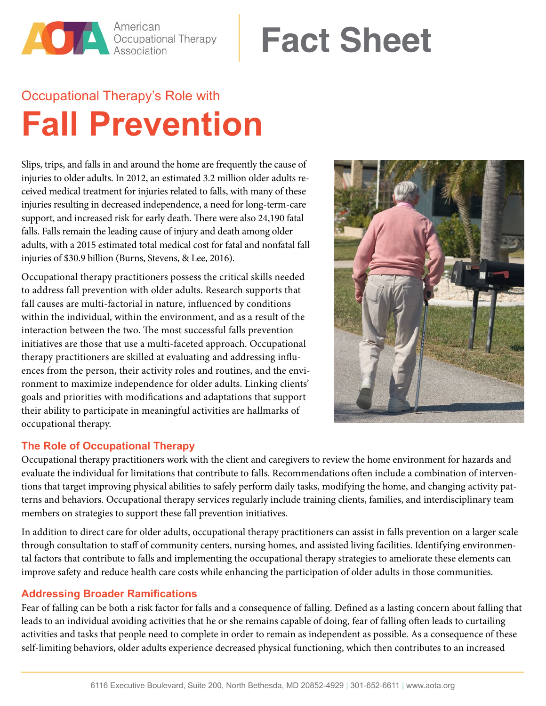American **American**<br>**Occupational Therapy**<br>Association

# **Fact Sheet**

## Occupational Therapy's Role with **Fall Prevention**

Slips, trips, and falls in and around the home are frequently the cause of injuries to older adults. In 2012, an estimated 3.2 million older adults received medical treatment for injuries related to falls, with many of these injuries resulting in decreased independence, a need for long-term-care support, and increased risk for early death. There were also 24,190 fatal falls. Falls remain the leading cause of injury and death among older adults, with a 2015 estimated total medical cost for fatal and nonfatal fall injuries of \$30.9 billion (Burns, Stevens, & Lee, 2016).

Occupational therapy practitioners possess the critical skills needed to address fall prevention with older adults. Research supports that fall causes are multi-factorial in nature, influenced by conditions within the individual, within the environment, and as a result of the interaction between the two. The most successful falls prevention initiatives are those that use a multi-faceted approach. Occupational therapy practitioners are skilled at evaluating and addressing influences from the person, their activity roles and routines, and the environment to maximize independence for older adults. Linking clients' goals and priorities with modifications and adaptations that support their ability to participate in meaningful activities are hallmarks of occupational therapy.



#### **The Role of Occupational Therapy**

Occupational therapy practitioners work with the client and caregivers to review the home environment for hazards and evaluate the individual for limitations that contribute to falls. Recommendations often include a combination of interventions that target improving physical abilities to safely perform daily tasks, modifying the home, and changing activity patterns and behaviors. Occupational therapy services regularly include training clients, families, and interdisciplinary team members on strategies to support these fall prevention initiatives.

In addition to direct care for older adults, occupational therapy practitioners can assist in falls prevention on a larger scale through consultation to staff of community centers, nursing homes, and assisted living facilities. Identifying environmental factors that contribute to falls and implementing the occupational therapy strategies to ameliorate these elements can improve safety and reduce health care costs while enhancing the participation of older adults in those communities.

#### **Addressing Broader Ramifications**

Fear of falling can be both a risk factor for falls and a consequence of falling. Defined as a lasting concern about falling that leads to an individual avoiding activities that he or she remains capable of doing, fear of falling often leads to curtailing activities and tasks that people need to complete in order to remain as independent as possible. As a consequence of these self-limiting behaviors, older adults experience decreased physical functioning, which then contributes to an increased